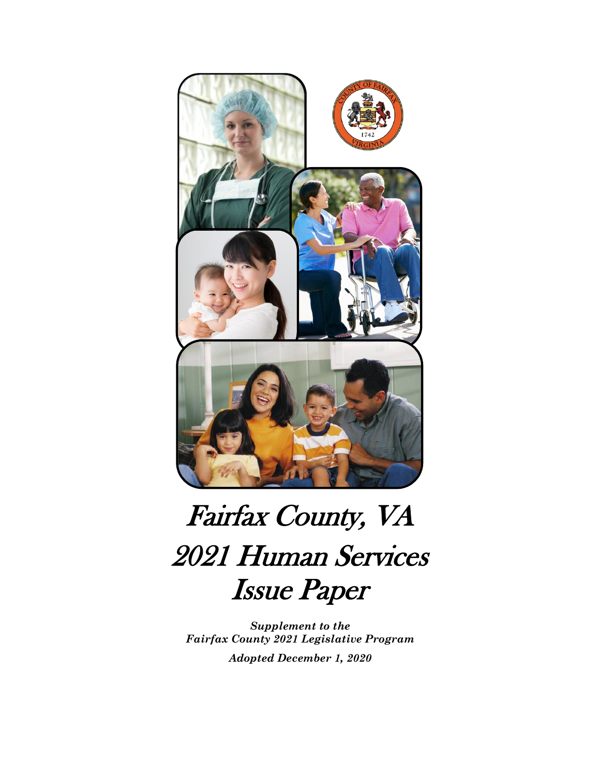

# 2021 Human Services Issue Paper Fairfax County, VA

*Supplement to the Fairfax County 2021 Legislative Program Adopted December 1, 2020*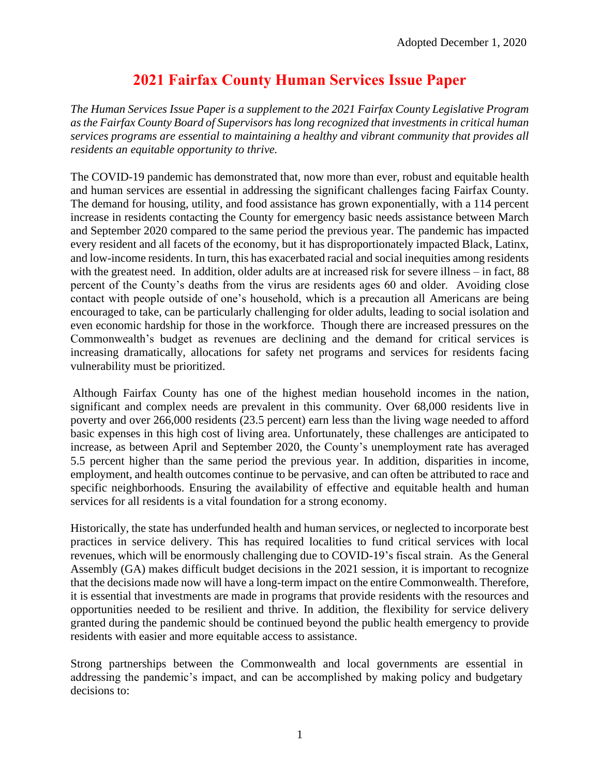### **2021 Fairfax County Human Services Issue Paper**

*The Human Services Issue Paper is a supplement to the 2021 Fairfax County Legislative Program as the Fairfax County Board of Supervisors has long recognized that investments in critical human services programs are essential to maintaining a healthy and vibrant community that provides all residents an equitable opportunity to thrive.* 

The COVID-19 pandemic has demonstrated that, now more than ever, robust and equitable health and human services are essential in addressing the significant challenges facing Fairfax County. The demand for housing, utility, and food assistance has grown exponentially, with a 114 percent increase in residents contacting the County for emergency basic needs assistance between March and September 2020 compared to the same period the previous year. The pandemic has impacted every resident and all facets of the economy, but it has disproportionately impacted Black, Latinx, and low-income residents. In turn, this has exacerbated racial and social inequities among residents with the greatest need. In addition, older adults are at increased risk for severe illness – in fact, 88 percent of the County's deaths from the virus are residents ages 60 and older. Avoiding close contact with people outside of one's household, which is a precaution all Americans are being encouraged to take, can be particularly challenging for older adults, leading to social isolation and even economic hardship for those in the workforce. Though there are increased pressures on the Commonwealth's budget as revenues are declining and the demand for critical services is increasing dramatically, allocations for safety net programs and services for residents facing vulnerability must be prioritized.

Although Fairfax County has one of the highest median household incomes in the nation, significant and complex needs are prevalent in this community. Over 68,000 residents live in poverty and over 266,000 residents (23.5 percent) earn less than the living wage needed to afford basic expenses in this high cost of living area. Unfortunately, these challenges are anticipated to increase, as between April and September 2020, the County's unemployment rate has averaged 5.5 percent higher than the same period the previous year. In addition, disparities in income, employment, and health outcomes continue to be pervasive, and can often be attributed to race and specific neighborhoods. Ensuring the availability of effective and equitable health and human services for all residents is a vital foundation for a strong economy.

Historically, the state has underfunded health and human services, or neglected to incorporate best practices in service delivery. This has required localities to fund critical services with local revenues, which will be enormously challenging due to COVID-19's fiscal strain. As the General Assembly (GA) makes difficult budget decisions in the 2021 session, it is important to recognize that the decisions made now will have a long-term impact on the entire Commonwealth. Therefore, it is essential that investments are made in programs that provide residents with the resources and opportunities needed to be resilient and thrive. In addition, the flexibility for service delivery granted during the pandemic should be continued beyond the public health emergency to provide residents with easier and more equitable access to assistance.

Strong partnerships between the Commonwealth and local governments are essential in addressing the pandemic's impact, and can be accomplished by making policy and budgetary decisions to: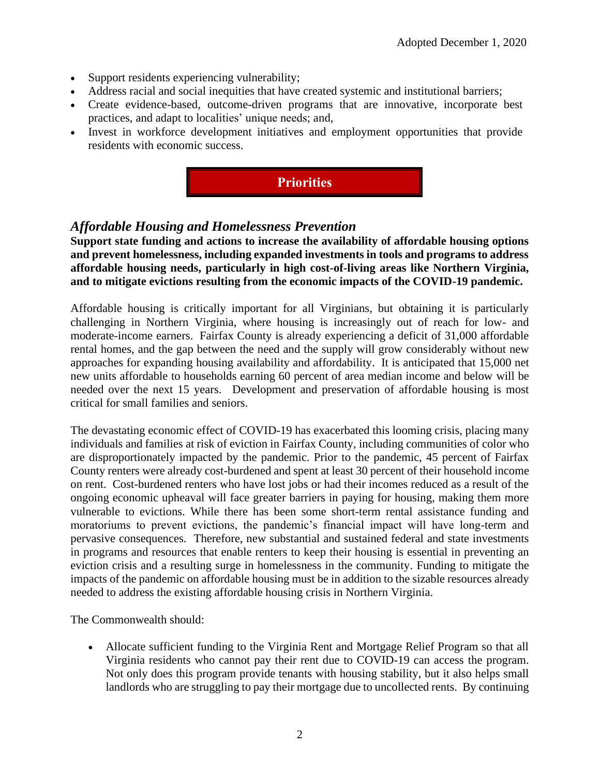- Support residents experiencing vulnerability;
- Address racial and social inequities that have created systemic and institutional barriers;
- Create evidence-based, outcome-driven programs that are innovative, incorporate best practices, and adapt to localities' unique needs; and,
- Invest in workforce development initiatives and employment opportunities that provide residents with economic success.



#### *Affordable Housing and Homelessness Prevention*

**Support state funding and actions to increase the availability of affordable housing options and prevent homelessness, including expanded investments in tools and programs to address affordable housing needs, particularly in high cost-of-living areas like Northern Virginia, and to mitigate evictions resulting from the economic impacts of the COVID-19 pandemic.**

Affordable housing is critically important for all Virginians, but obtaining it is particularly challenging in Northern Virginia, where housing is increasingly out of reach for low- and moderate-income earners. Fairfax County is already experiencing a deficit of 31,000 affordable rental homes, and the gap between the need and the supply will grow considerably without new approaches for expanding housing availability and affordability. It is anticipated that 15,000 net new units affordable to households earning 60 percent of area median income and below will be needed over the next 15 years. Development and preservation of affordable housing is most critical for small families and seniors.

The devastating economic effect of COVID-19 has exacerbated this looming crisis, placing many individuals and families at risk of eviction in Fairfax County, including communities of color who are disproportionately impacted by the pandemic. Prior to the pandemic, 45 percent of Fairfax County renters were already cost-burdened and spent at least 30 percent of their household income on rent. Cost-burdened renters who have lost jobs or had their incomes reduced as a result of the ongoing economic upheaval will face greater barriers in paying for housing, making them more vulnerable to evictions. While there has been some short-term rental assistance funding and moratoriums to prevent evictions, the pandemic's financial impact will have long-term and pervasive consequences. Therefore, new substantial and sustained federal and state investments in programs and resources that enable renters to keep their housing is essential in preventing an eviction crisis and a resulting surge in homelessness in the community. Funding to mitigate the impacts of the pandemic on affordable housing must be in addition to the sizable resources already needed to address the existing affordable housing crisis in Northern Virginia.

The Commonwealth should:

• Allocate sufficient funding to the Virginia Rent and Mortgage Relief Program so that all Virginia residents who cannot pay their rent due to COVID-19 can access the program. Not only does this program provide tenants with housing stability, but it also helps small landlords who are struggling to pay their mortgage due to uncollected rents. By continuing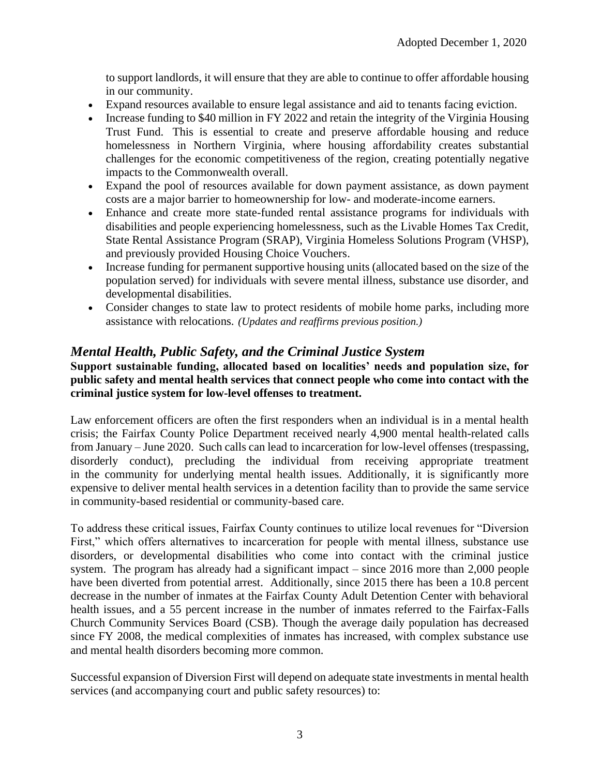to support landlords, it will ensure that they are able to continue to offer affordable housing in our community.

- Expand resources available to ensure legal assistance and aid to tenants facing eviction.
- Increase funding to \$40 million in FY 2022 and retain the integrity of the Virginia Housing Trust Fund. This is essential to create and preserve affordable housing and reduce homelessness in Northern Virginia, where housing affordability creates substantial challenges for the economic competitiveness of the region, creating potentially negative impacts to the Commonwealth overall.
- Expand the pool of resources available for down payment assistance, as down payment costs are a major barrier to homeownership for low- and moderate-income earners.
- Enhance and create more state-funded rental assistance programs for individuals with disabilities and people experiencing homelessness, such as the Livable Homes Tax Credit, State Rental Assistance Program (SRAP), Virginia Homeless Solutions Program (VHSP), and previously provided Housing Choice Vouchers.
- Increase funding for permanent supportive housing units (allocated based on the size of the population served) for individuals with severe mental illness, substance use disorder, and developmental disabilities.
- Consider changes to state law to protect residents of mobile home parks, including more assistance with relocations. *(Updates and reaffirms previous position.)*

#### *Mental Health, Public Safety, and the Criminal Justice System*

**Support sustainable funding, allocated based on localities' needs and population size, for public safety and mental health services that connect people who come into contact with the criminal justice system for low-level offenses to treatment.**

Law enforcement officers are often the first responders when an individual is in a mental health crisis; the Fairfax County Police Department received nearly 4,900 mental health-related calls from January – June 2020. Such calls can lead to incarceration for low-level offenses (trespassing, disorderly conduct), precluding the individual from receiving appropriate treatment in the community for underlying mental health issues. Additionally, it is significantly more expensive to deliver mental health services in a detention facility than to provide the same service in community-based residential or community-based care.

To address these critical issues, Fairfax County continues to utilize local revenues for "Diversion First," which offers alternatives to incarceration for people with mental illness, substance use disorders, or developmental disabilities who come into contact with the criminal justice system. The program has already had a significant impact – since 2016 more than 2,000 people have been diverted from potential arrest. Additionally, since 2015 there has been a 10.8 percent decrease in the number of inmates at the Fairfax County Adult Detention Center with behavioral health issues, and a 55 percent increase in the number of inmates referred to the Fairfax-Falls Church Community Services Board (CSB). Though the average daily population has decreased since FY 2008, the medical complexities of inmates has increased, with complex substance use and mental health disorders becoming more common.

Successful expansion of Diversion First will depend on adequate state investments in mental health services (and accompanying court and public safety resources) to: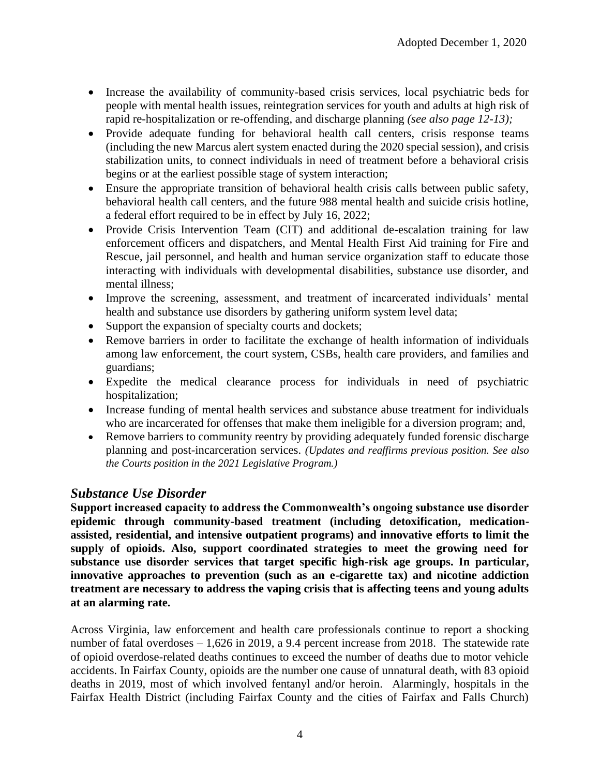- Increase the availability of community-based crisis services, local psychiatric beds for people with mental health issues, reintegration services for youth and adults at high risk of rapid re-hospitalization or re-offending, and discharge planning *(see also page 12-13);*
- Provide adequate funding for behavioral health call centers, crisis response teams (including the new Marcus alert system enacted during the 2020 special session), and crisis stabilization units, to connect individuals in need of treatment before a behavioral crisis begins or at the earliest possible stage of system interaction;
- Ensure the appropriate transition of behavioral health crisis calls between public safety, behavioral health call centers, and the future 988 mental health and suicide crisis hotline, a federal effort required to be in effect by [July 16, 2022;](x-apple-data-detectors://1/)
- Provide Crisis Intervention Team (CIT) and additional de-escalation training for law enforcement officers and dispatchers, and Mental Health First Aid training for Fire and Rescue, jail personnel, and health and human service organization staff to educate those interacting with individuals with developmental disabilities, substance use disorder, and mental illness;
- Improve the screening, assessment, and treatment of incarcerated individuals' mental health and substance use disorders by gathering uniform system level data;
- Support the expansion of specialty courts and dockets;
- Remove barriers in order to facilitate the exchange of health information of individuals among law enforcement, the court system, CSBs, health care providers, and families and guardians;
- Expedite the medical clearance process for individuals in need of psychiatric hospitalization;
- Increase funding of mental health services and substance abuse treatment for individuals who are incarcerated for offenses that make them ineligible for a diversion program; and,
- Remove barriers to community reentry by providing adequately funded forensic discharge planning and post-incarceration services. *(Updates and reaffirms previous position. See also the Courts position in the 2021 Legislative Program.)*

#### *Substance Use Disorder*

**Support increased capacity to address the Commonwealth's ongoing substance use disorder epidemic through community-based treatment (including detoxification, medicationassisted, residential, and intensive outpatient programs) and innovative efforts to limit the supply of opioids. Also, support coordinated strategies to meet the growing need for substance use disorder services that target specific high-risk age groups. In particular, innovative approaches to prevention (such as an e-cigarette tax) and nicotine addiction treatment are necessary to address the vaping crisis that is affecting teens and young adults at an alarming rate.**

Across Virginia, law enforcement and health care professionals continue to report a shocking number of fatal overdoses – 1,626 in 2019, a 9.4 percent increase from 2018. The statewide rate of opioid overdose-related deaths continues to exceed the number of deaths due to motor vehicle accidents. In Fairfax County, opioids are the number one cause of unnatural death, with 83 opioid deaths in 2019, most of which involved fentanyl and/or heroin. Alarmingly, hospitals in the Fairfax Health District (including Fairfax County and the cities of Fairfax and Falls Church)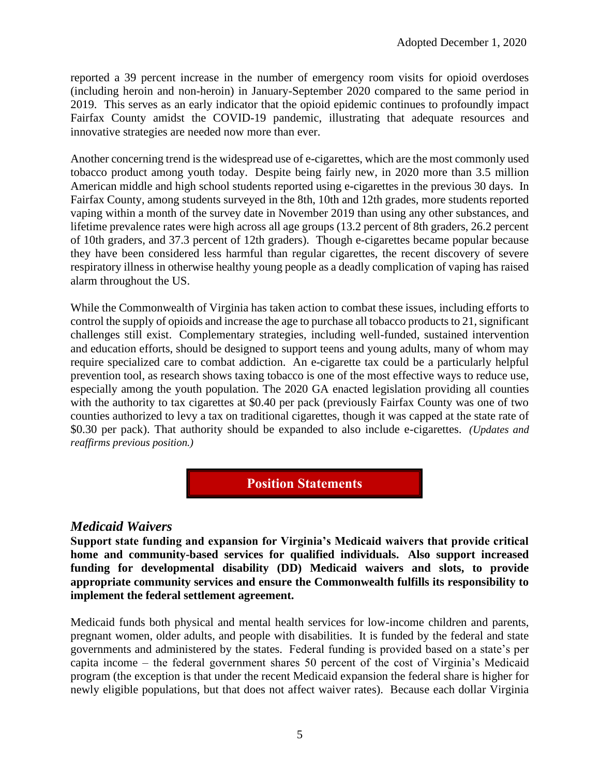reported a 39 percent increase in the number of emergency room visits for opioid overdoses (including heroin and non-heroin) in January-September 2020 compared to the same period in 2019. This serves as an early indicator that the opioid epidemic continues to profoundly impact Fairfax County amidst the COVID-19 pandemic, illustrating that adequate resources and innovative strategies are needed now more than ever.

Another concerning trend is the widespread use of e-cigarettes, which are the most commonly used tobacco product among youth today. Despite being fairly new, in 2020 more than 3.5 million American middle and high school students reported using e-cigarettes in the previous 30 days. In Fairfax County, among students surveyed in the 8th, 10th and 12th grades, more students reported vaping within a month of the survey date in November 2019 than using any other substances, and lifetime prevalence rates were high across all age groups (13.2 percent of 8th graders, 26.2 percent of 10th graders, and 37.3 percent of 12th graders). Though e-cigarettes became popular because they have been considered less harmful than regular cigarettes, the recent discovery of severe respiratory illness in otherwise healthy young people as a deadly complication of vaping has raised alarm throughout the US.

While the Commonwealth of Virginia has taken action to combat these issues, including efforts to control the supply of opioids and increase the age to purchase all tobacco products to 21, significant challenges still exist. Complementary strategies, including well-funded, sustained intervention and education efforts, should be designed to support teens and young adults, many of whom may require specialized care to combat addiction. An e-cigarette tax could be a particularly helpful prevention tool, as research shows taxing tobacco is one of the most effective ways to reduce use, especially among the youth population. The 2020 GA enacted legislation providing all counties with the authority to tax cigarettes at \$0.40 per pack (previously Fairfax County was one of two counties authorized to levy a tax on traditional cigarettes, though it was capped at the state rate of \$0.30 per pack). That authority should be expanded to also include e-cigarettes. *(Updates and reaffirms previous position.)*

**Position Statements**

#### *Medicaid Waivers*

**Support state funding and expansion for Virginia's Medicaid waivers that provide critical home and community-based services for qualified individuals. Also support increased funding for developmental disability (DD) Medicaid waivers and slots, to provide appropriate community services and ensure the Commonwealth fulfills its responsibility to implement the federal settlement agreement.** 

Medicaid funds both physical and mental health services for low-income children and parents, pregnant women, older adults, and people with disabilities. It is funded by the federal and state governments and administered by the states. Federal funding is provided based on a state's per capita income – the federal government shares 50 percent of the cost of Virginia's Medicaid program (the exception is that under the recent Medicaid expansion the federal share is higher for newly eligible populations, but that does not affect waiver rates). Because each dollar Virginia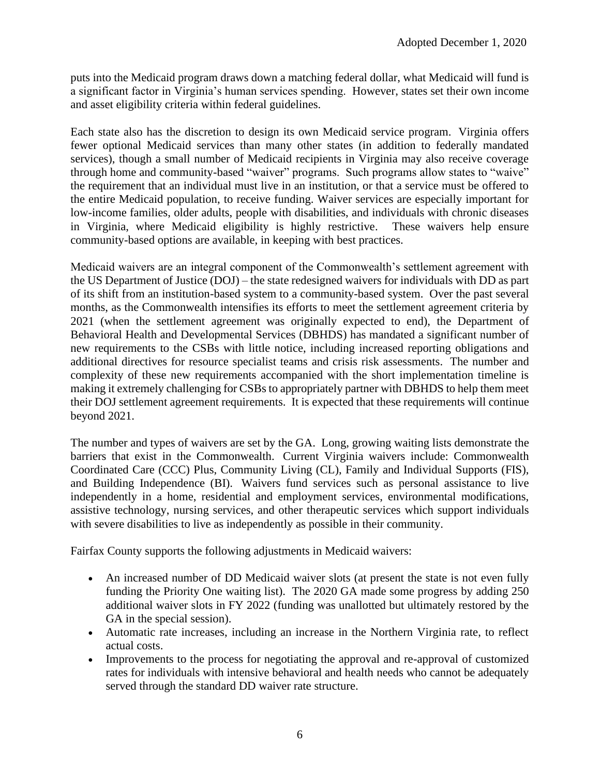puts into the Medicaid program draws down a matching federal dollar, what Medicaid will fund is a significant factor in Virginia's human services spending. However, states set their own income and asset eligibility criteria within federal guidelines.

Each state also has the discretion to design its own Medicaid service program. Virginia offers fewer optional Medicaid services than many other states (in addition to federally mandated services), though a small number of Medicaid recipients in Virginia may also receive coverage through home and community-based "waiver" programs. Such programs allow states to "waive" the requirement that an individual must live in an institution, or that a service must be offered to the entire Medicaid population, to receive funding. Waiver services are especially important for low-income families, older adults, people with disabilities, and individuals with chronic diseases in Virginia, where Medicaid eligibility is highly restrictive. These waivers help ensure community-based options are available, in keeping with best practices.

Medicaid waivers are an integral component of the Commonwealth's settlement agreement with the US Department of Justice (DOJ) – the state redesigned waivers for individuals with DD as part of its shift from an institution-based system to a community-based system. Over the past several months, as the Commonwealth intensifies its efforts to meet the settlement agreement criteria by 2021 (when the settlement agreement was originally expected to end), the Department of Behavioral Health and Developmental Services (DBHDS) has mandated a significant number of new requirements to the CSBs with little notice, including increased reporting obligations and additional directives for resource specialist teams and crisis risk assessments. The number and complexity of these new requirements accompanied with the short implementation timeline is making it extremely challenging for CSBs to appropriately partner with DBHDS to help them meet their DOJ settlement agreement requirements. It is expected that these requirements will continue beyond 2021.

The number and types of waivers are set by the GA. Long, growing waiting lists demonstrate the barriers that exist in the Commonwealth. Current Virginia waivers include: Commonwealth Coordinated Care (CCC) Plus, Community Living (CL), Family and Individual Supports (FIS), and Building Independence (BI). Waivers fund services such as personal assistance to live independently in a home, residential and employment services, environmental modifications, assistive technology, nursing services, and other therapeutic services which support individuals with severe disabilities to live as independently as possible in their community.

Fairfax County supports the following adjustments in Medicaid waivers:

- An increased number of DD Medicaid waiver slots (at present the state is not even fully funding the Priority One waiting list). The 2020 GA made some progress by adding 250 additional waiver slots in FY 2022 (funding was unallotted but ultimately restored by the GA in the special session).
- Automatic rate increases, including an increase in the Northern Virginia rate, to reflect actual costs.
- Improvements to the process for negotiating the approval and re-approval of customized rates for individuals with intensive behavioral and health needs who cannot be adequately served through the standard DD waiver rate structure.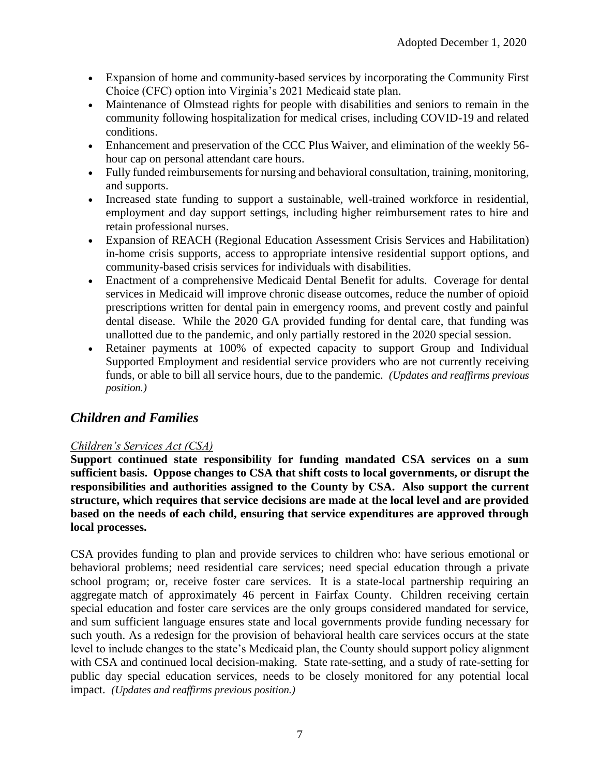- Expansion of home and community-based services by incorporating the Community First Choice (CFC) option into Virginia's 2021 Medicaid state plan.
- Maintenance of Olmstead rights for people with disabilities and seniors to remain in the community following hospitalization for medical crises, including COVID-19 and related conditions.
- Enhancement and preservation of the CCC Plus Waiver, and elimination of the weekly 56 hour cap on personal attendant care hours.
- Fully funded reimbursements for nursing and behavioral consultation, training, monitoring, and supports.
- Increased state funding to support a sustainable, well-trained workforce in residential, employment and day support settings, including higher reimbursement rates to hire and retain professional nurses.
- Expansion of REACH (Regional Education Assessment Crisis Services and Habilitation) in-home crisis supports, access to appropriate intensive residential support options, and community-based crisis services for individuals with disabilities.
- Enactment of a comprehensive Medicaid Dental Benefit for adults. Coverage for dental services in Medicaid will improve chronic disease outcomes, reduce the number of opioid prescriptions written for dental pain in emergency rooms, and prevent costly and painful dental disease. While the 2020 GA provided funding for dental care, that funding was unallotted due to the pandemic, and only partially restored in the 2020 special session.
- Retainer payments at 100% of expected capacity to support Group and Individual Supported Employment and residential service providers who are not currently receiving funds, or able to bill all service hours, due to the pandemic. *(Updates and reaffirms previous position.)*

#### *Children and Families*

#### *Children's Services Act (CSA)*

**Support continued state responsibility for funding mandated CSA services on a sum sufficient basis. Oppose changes to CSA that shift costs to local governments, or disrupt the responsibilities and authorities assigned to the County by CSA. Also support the current structure, which requires that service decisions are made at the local level and are provided based on the needs of each child, ensuring that service expenditures are approved through local processes.** 

CSA provides funding to plan and provide services to children who: have serious emotional or behavioral problems; need residential care services; need special education through a private school program; or, receive foster care services. It is a state-local partnership requiring an aggregate match of approximately 46 percent in Fairfax County. Children receiving certain special education and foster care services are the only groups considered mandated for service, and sum sufficient language ensures state and local governments provide funding necessary for such youth. As a redesign for the provision of behavioral health care services occurs at the state level to include changes to the state's Medicaid plan, the County should support policy alignment with CSA and continued local decision-making. State rate-setting, and a study of rate-setting for public day special education services, needs to be closely monitored for any potential local impact. *(Updates and reaffirms previous position.)*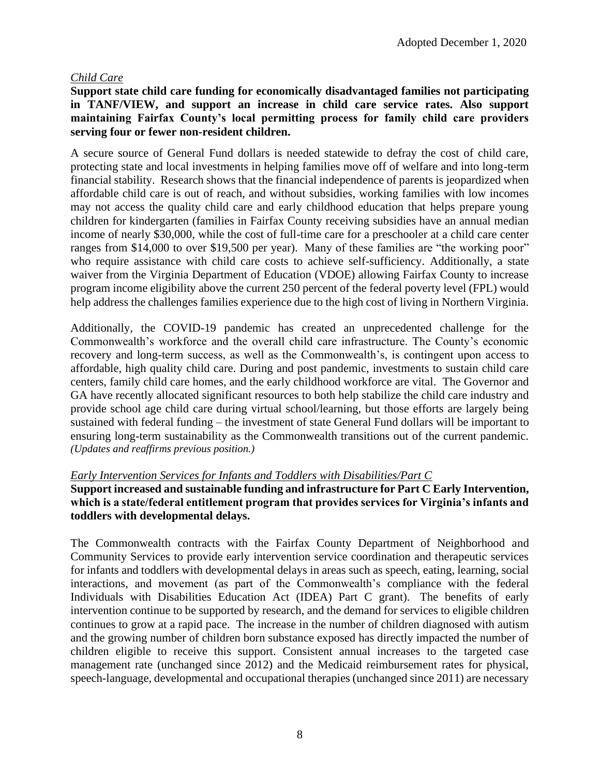#### *Child Care*

#### **Support state child care funding for economically disadvantaged families not participating in TANF/VIEW, and support an increase in child care service rates. Also support maintaining Fairfax County's local permitting process for family child care providers serving four or fewer non-resident children.**

A secure source of General Fund dollars is needed statewide to defray the cost of child care, protecting state and local investments in helping families move off of welfare and into long-term financial stability. Research shows that the financial independence of parents is jeopardized when affordable child care is out of reach, and without subsidies, working families with low incomes may not access the quality child care and early childhood education that helps prepare young children for kindergarten (families in Fairfax County receiving subsidies have an annual median income of nearly \$30,000, while the cost of full-time care for a preschooler at a child care center ranges from \$14,000 to over \$19,500 per year). Many of these families are "the working poor" who require assistance with child care costs to achieve self-sufficiency. Additionally, a state waiver from the Virginia Department of Education (VDOE) allowing Fairfax County to increase program income eligibility above the current 250 percent of the federal poverty level (FPL) would help address the challenges families experience due to the high cost of living in Northern Virginia.

Additionally, the COVID-19 pandemic has created an unprecedented challenge for the Commonwealth's workforce and the overall child care infrastructure. The County's economic recovery and long-term success, as well as the Commonwealth's, is contingent upon access to affordable, high quality child care. During and post pandemic, investments to sustain child care centers, family child care homes, and the early childhood workforce are vital. The Governor and GA have recently allocated significant resources to both help stabilize the child care industry and provide school age child care during virtual school/learning, but those efforts are largely being sustained with federal funding – the investment of state General Fund dollars will be important to ensuring long-term sustainability as the Commonwealth transitions out of the current pandemic. *(Updates and reaffirms previous position.)*

#### *Early Intervention Services for Infants and Toddlers with Disabilities/Part C*

#### **Support increased and sustainable funding and infrastructure for Part C Early Intervention, which is a state/federal entitlement program that provides services for Virginia's infants and toddlers with developmental delays.**

The Commonwealth contracts with the Fairfax County Department of Neighborhood and Community Services to provide early intervention service coordination and therapeutic services for infants and toddlers with developmental delays in areas such as speech, eating, learning, social interactions, and movement (as part of the Commonwealth's compliance with the federal Individuals with Disabilities Education Act (IDEA) Part C grant). The benefits of early intervention continue to be supported by research, and the demand for services to eligible children continues to grow at a rapid pace. The increase in the number of children diagnosed with autism and the growing number of children born substance exposed has directly impacted the number of children eligible to receive this support. Consistent annual increases to the targeted case management rate (unchanged since 2012) and the Medicaid reimbursement rates for physical, speech-language, developmental and occupational therapies (unchanged since 2011) are necessary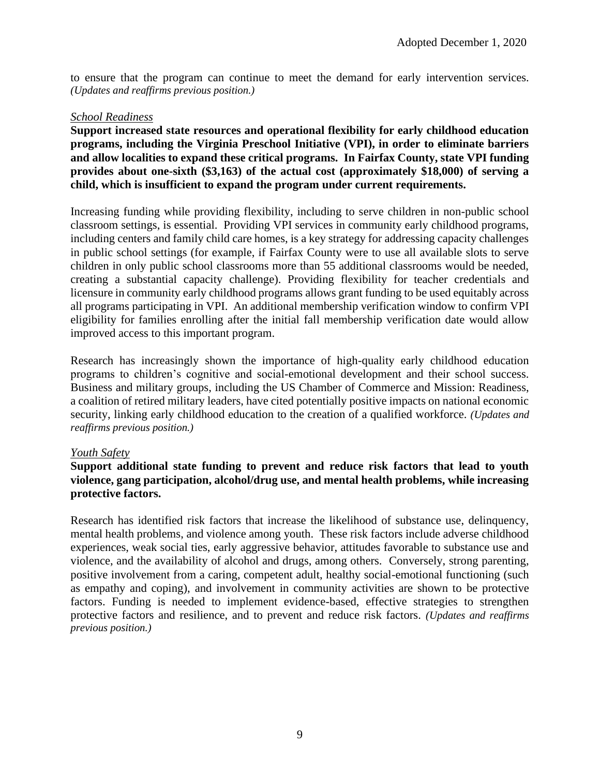to ensure that the program can continue to meet the demand for early intervention services. *(Updates and reaffirms previous position.)*

#### *School Readiness*

**Support increased state resources and operational flexibility for early childhood education programs, including the Virginia Preschool Initiative (VPI), in order to eliminate barriers and allow localities to expand these critical programs. In Fairfax County, state VPI funding provides about one-sixth (\$3,163) of the actual cost (approximately \$18,000) of serving a child, which is insufficient to expand the program under current requirements.**

Increasing funding while providing flexibility, including to serve children in non-public school classroom settings, is essential. Providing VPI services in community early childhood programs, including centers and family child care homes, is a key strategy for addressing capacity challenges in public school settings (for example, if Fairfax County were to use all available slots to serve children in only public school classrooms more than 55 additional classrooms would be needed, creating a substantial capacity challenge). Providing flexibility for teacher credentials and licensure in community early childhood programs allows grant funding to be used equitably across all programs participating in VPI. An additional membership verification window to confirm VPI eligibility for families enrolling after the initial fall membership verification date would allow improved access to this important program.

Research has increasingly shown the importance of high-quality early childhood education programs to children's cognitive and social-emotional development and their school success. Business and military groups, including the US Chamber of Commerce and Mission: Readiness, a coalition of retired military leaders, have cited potentially positive impacts on national economic security, linking early childhood education to the creation of a qualified workforce. *(Updates and reaffirms previous position.)*

#### *Youth Safety*

#### **Support additional state funding to prevent and reduce risk factors that lead to youth violence, gang participation, alcohol/drug use, and mental health problems, while increasing protective factors.**

Research has identified risk factors that increase the likelihood of substance use, delinquency, mental health problems, and violence among youth. These risk factors include adverse childhood experiences, weak social ties, early aggressive behavior, attitudes favorable to substance use and violence, and the availability of alcohol and drugs, among others. Conversely, strong parenting, positive involvement from a caring, competent adult, healthy social-emotional functioning (such as empathy and coping), and involvement in community activities are shown to be protective factors. Funding is needed to implement evidence-based, effective strategies to strengthen protective factors and resilience, and to prevent and reduce risk factors. *(Updates and reaffirms previous position.)*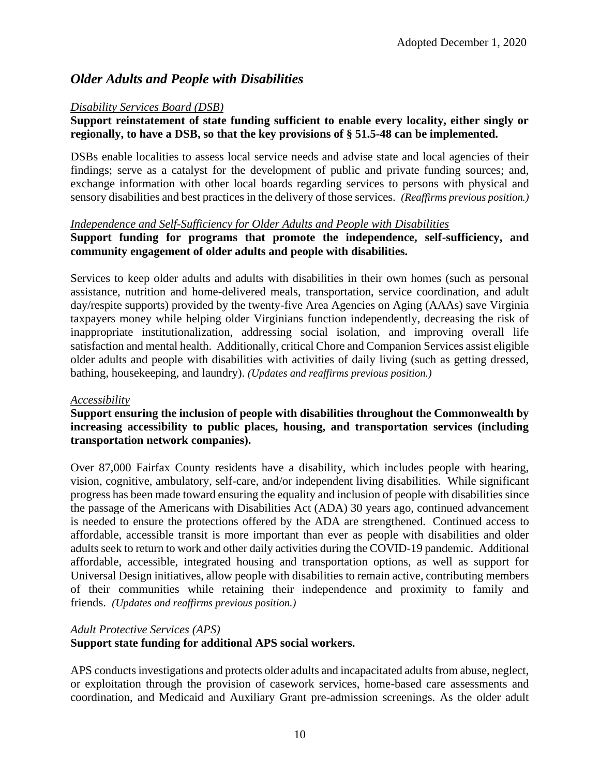#### *Older Adults and People with Disabilities*

#### *Disability Services Board (DSB)*

#### **Support reinstatement of state funding sufficient to enable every locality, either singly or regionally, to have a DSB, so that the key provisions of § 51.5-48 can be implemented.**

DSBs enable localities to assess local service needs and advise state and local agencies of their findings; serve as a catalyst for the development of public and private funding sources; and, exchange information with other local boards regarding services to persons with physical and sensory disabilities and best practices in the delivery of those services. *(Reaffirms previous position.)* 

#### *Independence and Self-Sufficiency for Older Adults and People with Disabilities*

#### **Support funding for programs that promote the independence, self-sufficiency, and community engagement of older adults and people with disabilities.**

Services to keep older adults and adults with disabilities in their own homes (such as personal assistance, nutrition and home-delivered meals, transportation, service coordination, and adult day/respite supports) provided by the twenty-five Area Agencies on Aging (AAAs) save Virginia taxpayers money while helping older Virginians function independently, decreasing the risk of inappropriate institutionalization, addressing social isolation, and improving overall life satisfaction and mental health. Additionally, critical Chore and Companion Services assist eligible older adults and people with disabilities with activities of daily living (such as getting dressed, bathing, housekeeping, and laundry). *(Updates and reaffirms previous position.)* 

#### *Accessibility*

#### **Support ensuring the inclusion of people with disabilities throughout the Commonwealth by increasing accessibility to public places, housing, and transportation services (including transportation network companies).**

Over 87,000 Fairfax County residents have a disability, which includes people with hearing, vision, cognitive, ambulatory, self-care, and/or independent living disabilities. While significant progress has been made toward ensuring the equality and inclusion of people with disabilities since the passage of the Americans with Disabilities Act (ADA) 30 years ago, continued advancement is needed to ensure the protections offered by the ADA are strengthened. Continued access to affordable, accessible transit is more important than ever as people with disabilities and older adults seek to return to work and other daily activities during the COVID-19 pandemic. Additional affordable, accessible, integrated housing and transportation options, as well as support for Universal Design initiatives, allow people with disabilities to remain active, contributing members of their communities while retaining their independence and proximity to family and friends. *(Updates and reaffirms previous position.)*

#### *Adult Protective Services (APS)*

#### **Support state funding for additional APS social workers.**

APS conducts investigations and protects older adults and incapacitated adults from abuse, neglect, or exploitation through the provision of casework services, home-based care assessments and coordination, and Medicaid and Auxiliary Grant pre-admission screenings. As the older adult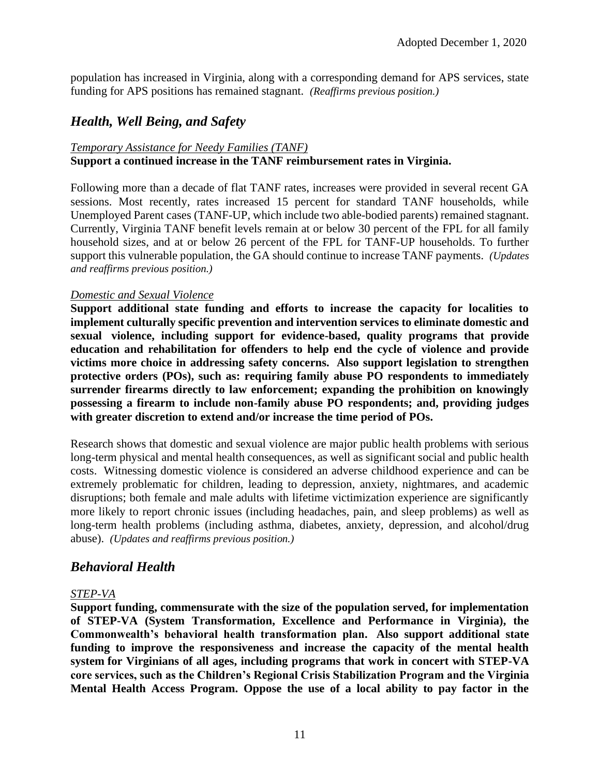population has increased in Virginia, along with a corresponding demand for APS services, state funding for APS positions has remained stagnant. *(Reaffirms previous position.)*

#### *Health, Well Being, and Safety*

#### *Temporary Assistance for Needy Families (TANF)* **Support a continued increase in the TANF reimbursement rates in Virginia.**

Following more than a decade of flat TANF rates, increases were provided in several recent GA sessions. Most recently, rates increased 15 percent for standard TANF households, while Unemployed Parent cases (TANF-UP, which include two able-bodied parents) remained stagnant. Currently, Virginia TANF benefit levels remain at or below 30 percent of the FPL for all family household sizes, and at or below 26 percent of the FPL for TANF-UP households. To further support this vulnerable population, the GA should continue to increase TANF payments. *(Updates and reaffirms previous position.)*

#### *Domestic and Sexual Violence*

**Support additional state funding and efforts to increase the capacity for localities to implement culturally specific prevention and intervention services to eliminate domestic and sexual violence, including support for evidence-based, quality programs that provide education and rehabilitation for offenders to help end the cycle of violence and provide victims more choice in addressing safety concerns. Also support legislation to strengthen protective orders (POs), such as: requiring family abuse PO respondents to immediately surrender firearms directly to law enforcement; expanding the prohibition on knowingly possessing a firearm to include non-family abuse PO respondents; and, providing judges with greater discretion to extend and/or increase the time period of POs.** 

Research shows that domestic and sexual violence are major public health problems with serious long-term physical and mental health consequences, as well as significant social and public health costs. Witnessing domestic violence is considered an adverse childhood experience and can be extremely problematic for children, leading to depression, anxiety, nightmares, and academic disruptions; both female and male adults with lifetime victimization experience are significantly more likely to report chronic issues (including headaches, pain, and sleep problems) as well as long-term health problems (including asthma, diabetes, anxiety, depression, and alcohol/drug abuse). *(Updates and reaffirms previous position.)* 

#### *Behavioral Health*

#### *STEP-VA*

**Support funding, commensurate with the size of the population served, for implementation of STEP-VA (System Transformation, Excellence and Performance in Virginia), the Commonwealth's behavioral health transformation plan. Also support additional state funding to improve the responsiveness and increase the capacity of the mental health system for Virginians of all ages, including programs that work in concert with STEP-VA core services, such as the Children's Regional Crisis Stabilization Program and the Virginia Mental Health Access Program. Oppose the use of a local ability to pay factor in the**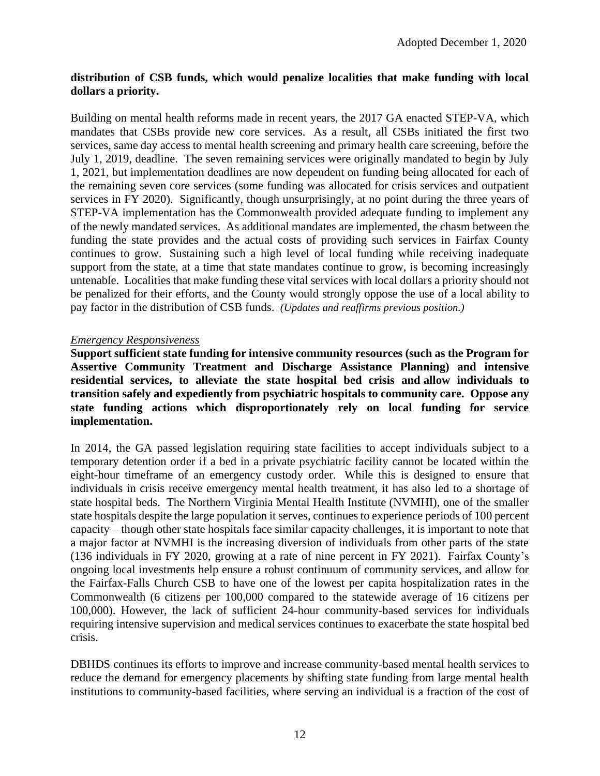#### **distribution of CSB funds, which would penalize localities that make funding with local dollars a priority.**

Building on mental health reforms made in recent years, the 2017 GA enacted STEP-VA, which mandates that CSBs provide new core services. As a result, all CSBs initiated the first two services, same day access to mental health screening and primary health care screening, before the July 1, 2019, deadline. The seven remaining services were originally mandated to begin by July 1, 2021, but implementation deadlines are now dependent on funding being allocated for each of the remaining seven core services (some funding was allocated for crisis services and outpatient services in FY 2020). Significantly, though unsurprisingly, at no point during the three years of STEP-VA implementation has the Commonwealth provided adequate funding to implement any of the newly mandated services. As additional mandates are implemented, the chasm between the funding the state provides and the actual costs of providing such services in Fairfax County continues to grow. Sustaining such a high level of local funding while receiving inadequate support from the state, at a time that state mandates continue to grow, is becoming increasingly untenable. Localities that make funding these vital services with local dollars a priority should not be penalized for their efforts, and the County would strongly oppose the use of a local ability to pay factor in the distribution of CSB funds. *(Updates and reaffirms previous position.)*

#### *Emergency Responsiveness*

**Support sufficient state funding for intensive community resources (such as the Program for Assertive Community Treatment and Discharge Assistance Planning) and intensive residential services, to alleviate the state hospital bed crisis and allow individuals to transition safely and expediently from psychiatric hospitals to community care. Oppose any state funding actions which disproportionately rely on local funding for service implementation.**

In 2014, the GA passed legislation requiring state facilities to accept individuals subject to a temporary detention order if a bed in a private psychiatric facility cannot be located within the eight-hour timeframe of an emergency custody order. While this is designed to ensure that individuals in crisis receive emergency mental health treatment, it has also led to a shortage of state hospital beds. The Northern Virginia Mental Health Institute (NVMHI), one of the smaller state hospitals despite the large population it serves, continues to experience periods of 100 percent capacity – though other state hospitals face similar capacity challenges, it is important to note that a major factor at NVMHI is the increasing diversion of individuals from other parts of the state (136 individuals in FY 2020, growing at a rate of nine percent in FY 2021). Fairfax County's ongoing local investments help ensure a robust continuum of community services, and allow for the Fairfax-Falls Church CSB to have one of the lowest per capita hospitalization rates in the Commonwealth (6 citizens per 100,000 compared to the statewide average of 16 citizens per 100,000). However, the lack of sufficient 24-hour community-based services for individuals requiring intensive supervision and medical services continues to exacerbate the state hospital bed crisis.

DBHDS continues its efforts to improve and increase community-based mental health services to reduce the demand for emergency placements by shifting state funding from large mental health institutions to community-based facilities, where serving an individual is a fraction of the cost of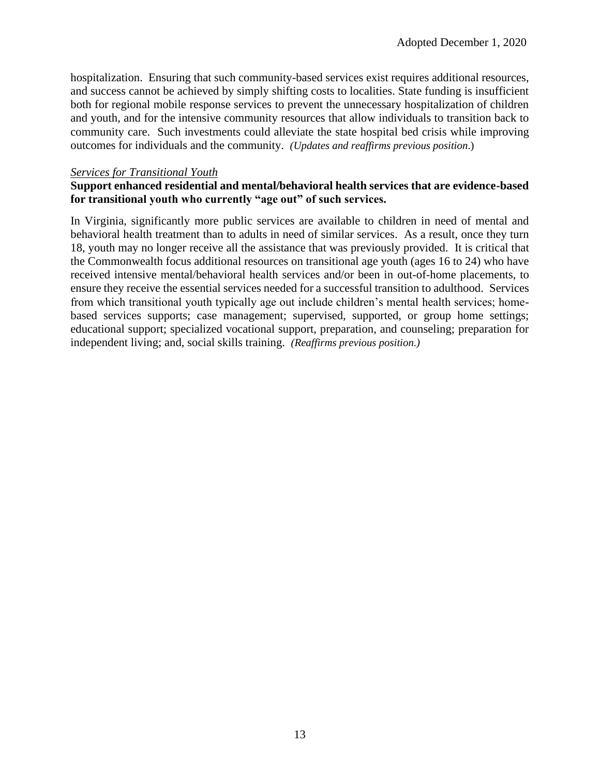hospitalization. Ensuring that such community-based services exist requires additional resources, and success cannot be achieved by simply shifting costs to localities. State funding is insufficient both for regional mobile response services to prevent the unnecessary hospitalization of children and youth, and for the intensive community resources that allow individuals to transition back to community care. Such investments could alleviate the state hospital bed crisis while improving outcomes for individuals and the community. *(Updates and reaffirms previous position*.)

#### *Services for Transitional Youth*

#### **Support enhanced residential and mental/behavioral health services that are evidence-based for transitional youth who currently "age out" of such services.**

In Virginia, significantly more public services are available to children in need of mental and behavioral health treatment than to adults in need of similar services. As a result, once they turn 18, youth may no longer receive all the assistance that was previously provided. It is critical that the Commonwealth focus additional resources on transitional age youth (ages 16 to 24) who have received intensive mental/behavioral health services and/or been in out-of-home placements, to ensure they receive the essential services needed for a successful transition to adulthood. Services from which transitional youth typically age out include children's mental health services; homebased services supports; case management; supervised, supported, or group home settings; educational support; specialized vocational support, preparation, and counseling; preparation for independent living; and, social skills training. *(Reaffirms previous position.)*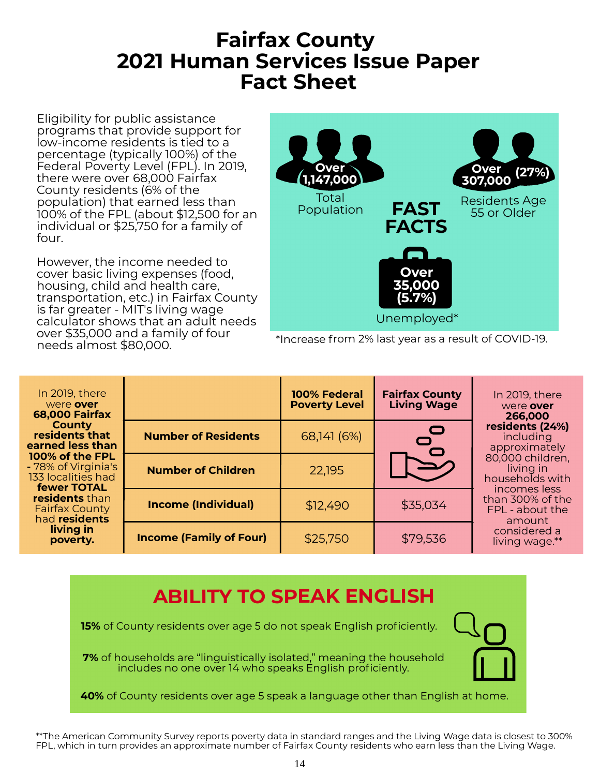### Fairfax County 2021 Human Services Issue Paper Fact Sheet

Eligibility for public assistance programs that provide support for low-income residents is tied to a percentage (typically 100%) of the Federal Poverty Level (FPL). In 2019, there were over 68,000 Fairfax County residents (6% of the population) that earned less than 100% of the FPL (about \$12,500 for an individual or \$25,750 for a family of four.

However, the income needed to cover basic living expenses (food, housing, child and health care, transportation, etc.) in Fairfax County is far greater - MIT's living wage calculator shows that an adult needs over \$35,000 and a family of four needs almost \$80,000.



\*Increase from 2% last year as a result of COVID-19.

| In 2019, there<br>were over<br><b>68,000 Fairfax</b><br><b>County</b><br>residents that<br>earned less than<br>100% of the FPL<br>- 78% of Virginia's<br>133 localities had<br><b>fewer TOTAL</b><br>residents than<br><b>Fairfax County</b><br>had residents<br>living in<br>poverty. |                                | 100% Federal<br><b>Poverty Level</b> | <b>Fairfax County</b><br><b>Living Wage</b> | In 2019, there<br>were over<br>266,000<br>residents (24%)<br>including<br>approximately<br>80,000 children,<br>living in<br>households with<br>incomes less<br>than 300% of the<br>FPL - about the<br>amount<br>considered a<br>living wage.** |
|----------------------------------------------------------------------------------------------------------------------------------------------------------------------------------------------------------------------------------------------------------------------------------------|--------------------------------|--------------------------------------|---------------------------------------------|------------------------------------------------------------------------------------------------------------------------------------------------------------------------------------------------------------------------------------------------|
|                                                                                                                                                                                                                                                                                        | <b>Number of Residents</b>     | 68,141 (6%)                          | $\bullet$                                   |                                                                                                                                                                                                                                                |
|                                                                                                                                                                                                                                                                                        | <b>Number of Children</b>      | 22,195                               | $\blacktriangleright$                       |                                                                                                                                                                                                                                                |
|                                                                                                                                                                                                                                                                                        | <b>Income (Individual)</b>     | \$12,490                             | \$35,034                                    |                                                                                                                                                                                                                                                |
|                                                                                                                                                                                                                                                                                        | <b>Income (Family of Four)</b> | \$25,750                             | \$79,536                                    |                                                                                                                                                                                                                                                |

### ABILITY TO SPEAK ENGLISH

**15%** of County residents over age 5 do not speak English proficiently.

7% of households are "linguistically isolated," meaning the household includes no one over 14 who speaks English proficiently.



40% of County residents over age 5 speak a language other than English at home.

\*\*The American Community Survey reports poverty data in standard ranges and the Living Wage data is closest to 300% FPL, which in turn provides an approximate number of Fairfax County residents who earn less than the Living Wage.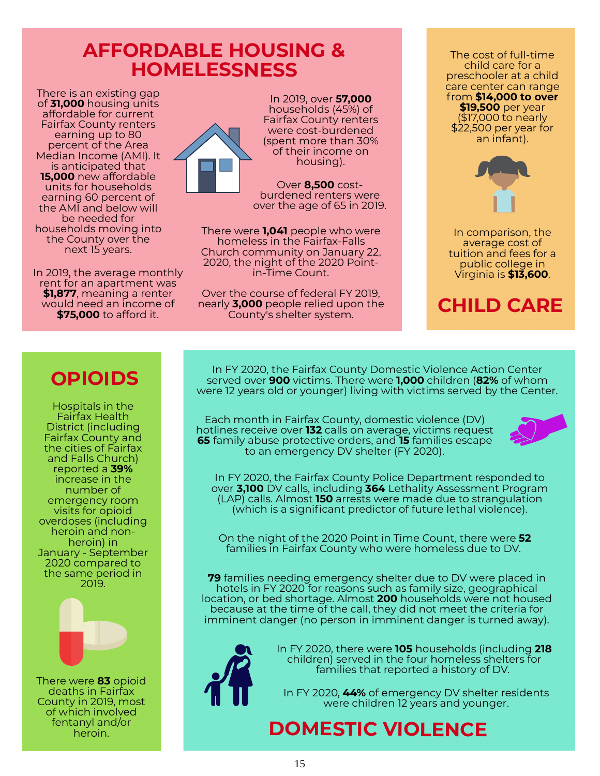### AFFORDABLE HOUSING & **HOMELESSNESS**

There is an existing gap of 31,000 housing units affordable for current Fairfax County renters earning up to 80 percent of the Area Median Income (AMI). It is anticipated that 15,000 new affordable units for households earning 60 percent of the AMI and below will be needed for households moving into the County over the next 15 years.

In 2019, the average monthly rent for an apartment was \$1,877, meaning a renter would need an income of **\$75,000** to afford it.



In 2019, over 57,000 households (45%) of Fairfax County renters were cost-burdened (spent more than 30% of their income on housing).

Over 8,500 costburdened renters were over the age of 65 in 2019.

There were **1,041** people who were homeless in the Fairfax-Falls Church community on January 22, 2020, the night of the 2020 Pointin-Time Count.

Over the course of federal FY 2019, nearly **3,000** people relied upon the County's shelter system.

The cost of full-time child care for a preschooler at a child care center can range from \$14,000 to over \$19,500 per year (\$17,000 to nearly \$22,500 per year for an infant).



In comparison, the average cost of tuition and fees for a public college in Virginia is \$13,600.

# CHILD CARE

### **OPIOIDS**

Hospitals in the Fairfax Health District (including Fairfax County and the cities of Fairfax and Falls Church) reported a 39% increase in the number of emergency room visits for opioid overdoses (including heroin and nonheroin) in January - September 2020 compared to the same period in 2019.



There were **83** opioid deaths in Fairfax County in 2019, most of which involved fentanyl and/or heroin.

In FY 2020, the Fairfax County Domestic Violence Action Center served over **900** victims. There were **1,000** children (**82%** of whom were 12 years old or younger) living with victims served by the Center.

Each month in Fairfax County, domestic violence (DV) hotlines receive over **132** calls on average, victims request **65** family abuse protective orders, and **15** families escape to an emergency DV shelter (FY 2020).



In FY 2020, the Fairfax County Police Department responded to over 3,100 DV calls, including 364 Lethality Assessment Program (LAP) calls. Almost 150 arrests were made due to strangulation (which is a significant predictor of future lethal violence).

On the night of the 2020 Point in Time Count, there were 52 families in Fairfax County who were homeless due to DV.

**79** families needing emergency shelter due to DV were placed in hotels in FY 2020 for reasons such as family size, geographical location, or bed shortage. Almost 200 households were not housed because at the time of the call, they did not meet the criteria for imminent danger (no person in imminent danger is turned away).



In FY 2020, there were 105 households (including 218 children) served in the four homeless shelters for families that reported a history of DV.

In FY 2020, 44% of emergency DV shelter residents were children 12 years and younger.

# DOMESTIC VIOLENCE